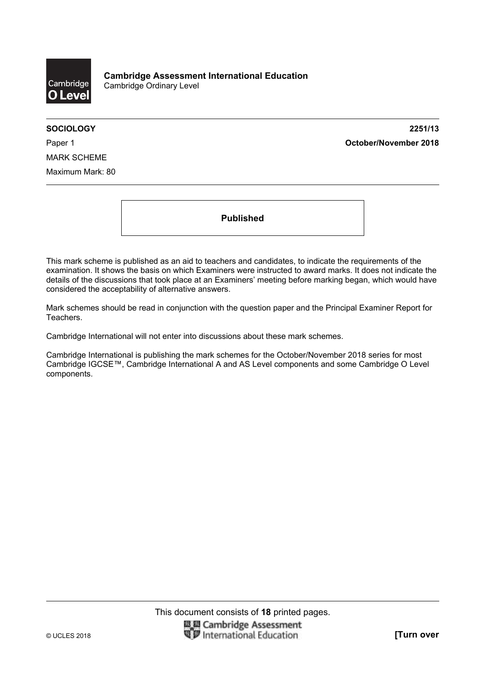

**SOCIOLOGY 2251/13**  Paper 1 **October/November 2018**

MARK SCHEME Maximum Mark: 80

**Published** 

This mark scheme is published as an aid to teachers and candidates, to indicate the requirements of the examination. It shows the basis on which Examiners were instructed to award marks. It does not indicate the details of the discussions that took place at an Examiners' meeting before marking began, which would have considered the acceptability of alternative answers.

Mark schemes should be read in conjunction with the question paper and the Principal Examiner Report for Teachers.

Cambridge International will not enter into discussions about these mark schemes.

Cambridge International is publishing the mark schemes for the October/November 2018 series for most Cambridge IGCSE™, Cambridge International A and AS Level components and some Cambridge O Level components.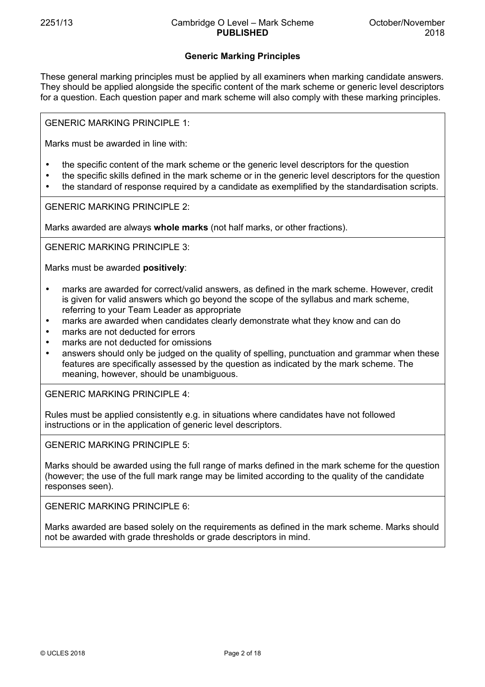## **Generic Marking Principles**

These general marking principles must be applied by all examiners when marking candidate answers. They should be applied alongside the specific content of the mark scheme or generic level descriptors for a question. Each question paper and mark scheme will also comply with these marking principles.

GENERIC MARKING PRINCIPLE 1:

Marks must be awarded in line with:

- the specific content of the mark scheme or the generic level descriptors for the question
- the specific skills defined in the mark scheme or in the generic level descriptors for the question
- the standard of response required by a candidate as exemplified by the standardisation scripts.

GENERIC MARKING PRINCIPLE 2:

Marks awarded are always **whole marks** (not half marks, or other fractions).

GENERIC MARKING PRINCIPLE 3:

Marks must be awarded **positively**:

- marks are awarded for correct/valid answers, as defined in the mark scheme. However, credit is given for valid answers which go beyond the scope of the syllabus and mark scheme, referring to your Team Leader as appropriate
- marks are awarded when candidates clearly demonstrate what they know and can do
- marks are not deducted for errors
- marks are not deducted for omissions
- answers should only be judged on the quality of spelling, punctuation and grammar when these features are specifically assessed by the question as indicated by the mark scheme. The meaning, however, should be unambiguous.

GENERIC MARKING PRINCIPLE 4:

Rules must be applied consistently e.g. in situations where candidates have not followed instructions or in the application of generic level descriptors.

GENERIC MARKING PRINCIPLE 5:

Marks should be awarded using the full range of marks defined in the mark scheme for the question (however; the use of the full mark range may be limited according to the quality of the candidate responses seen).

GENERIC MARKING PRINCIPLE 6:

Marks awarded are based solely on the requirements as defined in the mark scheme. Marks should not be awarded with grade thresholds or grade descriptors in mind.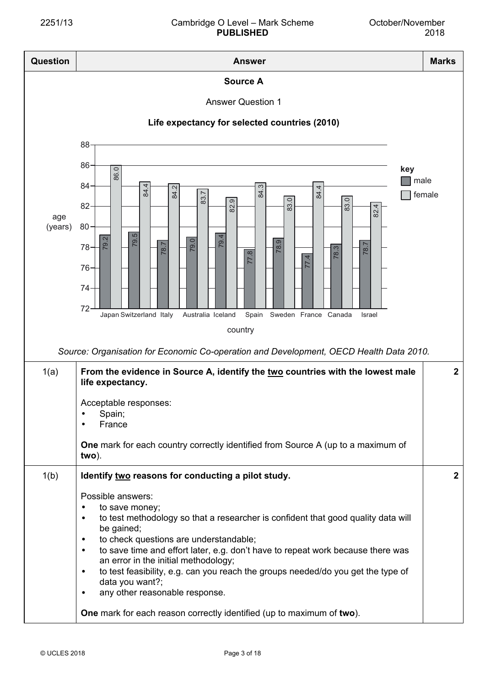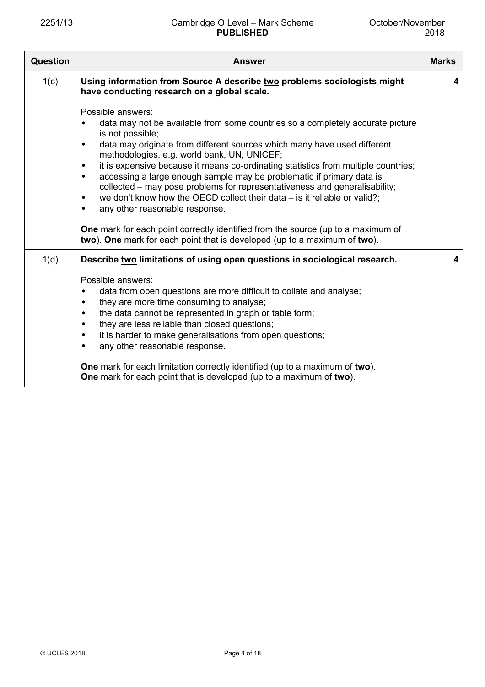| Question | <b>Answer</b>                                                                                                                                                                                                                                                                                                                                                                                                                                                                                                                                                                                                                                                             | <b>Marks</b> |
|----------|---------------------------------------------------------------------------------------------------------------------------------------------------------------------------------------------------------------------------------------------------------------------------------------------------------------------------------------------------------------------------------------------------------------------------------------------------------------------------------------------------------------------------------------------------------------------------------------------------------------------------------------------------------------------------|--------------|
| 1(c)     | Using information from Source A describe two problems sociologists might<br>have conducting research on a global scale.                                                                                                                                                                                                                                                                                                                                                                                                                                                                                                                                                   | 4            |
|          | Possible answers:<br>data may not be available from some countries so a completely accurate picture<br>is not possible;<br>data may originate from different sources which many have used different<br>$\bullet$<br>methodologies, e.g. world bank, UN, UNICEF;<br>it is expensive because it means co-ordinating statistics from multiple countries;<br>$\bullet$<br>accessing a large enough sample may be problematic if primary data is<br>$\bullet$<br>collected – may pose problems for representativeness and generalisability;<br>we don't know how the OECD collect their data $-$ is it reliable or valid?;<br>٠<br>any other reasonable response.<br>$\bullet$ |              |
|          | <b>One</b> mark for each point correctly identified from the source (up to a maximum of<br>two). One mark for each point that is developed (up to a maximum of two).                                                                                                                                                                                                                                                                                                                                                                                                                                                                                                      |              |
| 1(d)     | Describe two limitations of using open questions in sociological research.<br>Possible answers:<br>data from open questions are more difficult to collate and analyse;<br>they are more time consuming to analyse;<br>٠<br>the data cannot be represented in graph or table form;<br>٠<br>they are less reliable than closed questions;<br>$\bullet$<br>it is harder to make generalisations from open questions;<br>$\bullet$<br>any other reasonable response.<br>٠<br>One mark for each limitation correctly identified (up to a maximum of two).                                                                                                                      | 4            |
|          | One mark for each point that is developed (up to a maximum of two).                                                                                                                                                                                                                                                                                                                                                                                                                                                                                                                                                                                                       |              |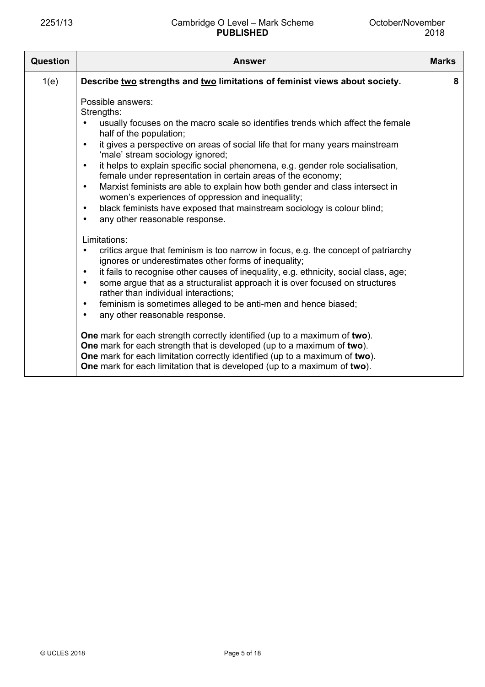| Question | <b>Answer</b>                                                                                                                                                                                                                                                                                                                                                                                                                                                                                                                                                                                                                                                                                                                                                                                                                                                                                                                                                                                                                                                                                                                                                                                                                                                                                                                                                                                                                               | <b>Marks</b> |
|----------|---------------------------------------------------------------------------------------------------------------------------------------------------------------------------------------------------------------------------------------------------------------------------------------------------------------------------------------------------------------------------------------------------------------------------------------------------------------------------------------------------------------------------------------------------------------------------------------------------------------------------------------------------------------------------------------------------------------------------------------------------------------------------------------------------------------------------------------------------------------------------------------------------------------------------------------------------------------------------------------------------------------------------------------------------------------------------------------------------------------------------------------------------------------------------------------------------------------------------------------------------------------------------------------------------------------------------------------------------------------------------------------------------------------------------------------------|--------------|
| 1(e)     | Describe two strengths and two limitations of feminist views about society.                                                                                                                                                                                                                                                                                                                                                                                                                                                                                                                                                                                                                                                                                                                                                                                                                                                                                                                                                                                                                                                                                                                                                                                                                                                                                                                                                                 | 8            |
|          | Possible answers:<br>Strengths:<br>usually focuses on the macro scale so identifies trends which affect the female<br>half of the population;<br>it gives a perspective on areas of social life that for many years mainstream<br>$\bullet$<br>'male' stream sociology ignored;<br>it helps to explain specific social phenomena, e.g. gender role socialisation,<br>$\bullet$<br>female under representation in certain areas of the economy;<br>Marxist feminists are able to explain how both gender and class intersect in<br>$\bullet$<br>women's experiences of oppression and inequality;<br>black feminists have exposed that mainstream sociology is colour blind;<br>$\bullet$<br>any other reasonable response.<br>$\bullet$<br>Limitations:<br>critics argue that feminism is too narrow in focus, e.g. the concept of patriarchy<br>ignores or underestimates other forms of inequality;<br>it fails to recognise other causes of inequality, e.g. ethnicity, social class, age;<br>$\bullet$<br>some argue that as a structuralist approach it is over focused on structures<br>$\bullet$<br>rather than individual interactions:<br>feminism is sometimes alleged to be anti-men and hence biased;<br>$\bullet$<br>any other reasonable response.<br>$\bullet$<br><b>One</b> mark for each strength correctly identified (up to a maximum of two).<br>One mark for each strength that is developed (up to a maximum of two). |              |
|          | One mark for each limitation correctly identified (up to a maximum of two).<br>One mark for each limitation that is developed (up to a maximum of two).                                                                                                                                                                                                                                                                                                                                                                                                                                                                                                                                                                                                                                                                                                                                                                                                                                                                                                                                                                                                                                                                                                                                                                                                                                                                                     |              |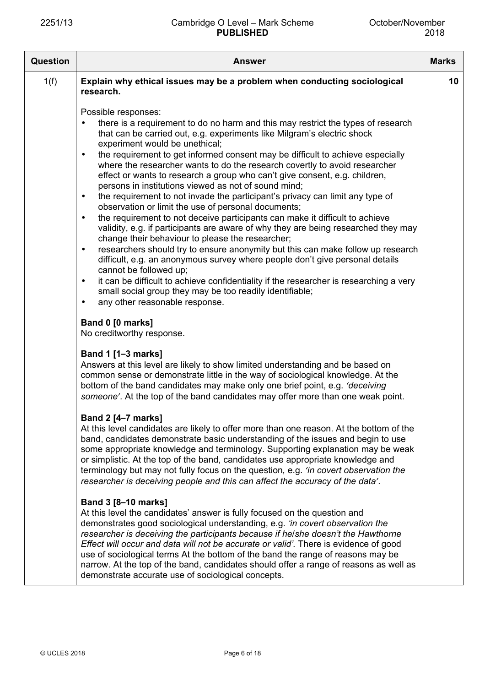| Question | <b>Answer</b>                                                                                                                                                                                                                                                                                                                                                                                                                                                                                                                                                                                                                                                                                                                                                                                                                                                                                                                                                                                                                                                                                                                                                                                                                                                                                                            | <b>Marks</b> |
|----------|--------------------------------------------------------------------------------------------------------------------------------------------------------------------------------------------------------------------------------------------------------------------------------------------------------------------------------------------------------------------------------------------------------------------------------------------------------------------------------------------------------------------------------------------------------------------------------------------------------------------------------------------------------------------------------------------------------------------------------------------------------------------------------------------------------------------------------------------------------------------------------------------------------------------------------------------------------------------------------------------------------------------------------------------------------------------------------------------------------------------------------------------------------------------------------------------------------------------------------------------------------------------------------------------------------------------------|--------------|
| 1(f)     | Explain why ethical issues may be a problem when conducting sociological<br>research.                                                                                                                                                                                                                                                                                                                                                                                                                                                                                                                                                                                                                                                                                                                                                                                                                                                                                                                                                                                                                                                                                                                                                                                                                                    | 10           |
|          | Possible responses:<br>there is a requirement to do no harm and this may restrict the types of research<br>that can be carried out, e.g. experiments like Milgram's electric shock<br>experiment would be unethical;<br>the requirement to get informed consent may be difficult to achieve especially<br>where the researcher wants to do the research covertly to avoid researcher<br>effect or wants to research a group who can't give consent, e.g. children,<br>persons in institutions viewed as not of sound mind;<br>the requirement to not invade the participant's privacy can limit any type of<br>$\bullet$<br>observation or limit the use of personal documents;<br>the requirement to not deceive participants can make it difficult to achieve<br>validity, e.g. if participants are aware of why they are being researched they may<br>change their behaviour to please the researcher;<br>researchers should try to ensure anonymity but this can make follow up research<br>$\bullet$<br>difficult, e.g. an anonymous survey where people don't give personal details<br>cannot be followed up;<br>it can be difficult to achieve confidentiality if the researcher is researching a very<br>small social group they may be too readily identifiable;<br>any other reasonable response.<br>$\bullet$ |              |
|          | Band 0 [0 marks]<br>No creditworthy response.                                                                                                                                                                                                                                                                                                                                                                                                                                                                                                                                                                                                                                                                                                                                                                                                                                                                                                                                                                                                                                                                                                                                                                                                                                                                            |              |
|          | Band 1 [1-3 marks]<br>Answers at this level are likely to show limited understanding and be based on<br>common sense or demonstrate little in the way of sociological knowledge. At the<br>bottom of the band candidates may make only one brief point, e.g. 'deceiving<br>someone'. At the top of the band candidates may offer more than one weak point.                                                                                                                                                                                                                                                                                                                                                                                                                                                                                                                                                                                                                                                                                                                                                                                                                                                                                                                                                               |              |
|          | <b>Band 2 [4-7 marks]</b><br>At this level candidates are likely to offer more than one reason. At the bottom of the<br>band, candidates demonstrate basic understanding of the issues and begin to use<br>some appropriate knowledge and terminology. Supporting explanation may be weak<br>or simplistic. At the top of the band, candidates use appropriate knowledge and<br>terminology but may not fully focus on the question, e.g. 'in covert observation the<br>researcher is deceiving people and this can affect the accuracy of the data'.                                                                                                                                                                                                                                                                                                                                                                                                                                                                                                                                                                                                                                                                                                                                                                    |              |
|          | <b>Band 3 [8-10 marks]</b><br>At this level the candidates' answer is fully focused on the question and<br>demonstrates good sociological understanding, e.g. 'in covert observation the<br>researcher is deceiving the participants because if he/she doesn't the Hawthorne<br>Effect will occur and data will not be accurate or valid'. There is evidence of good<br>use of sociological terms At the bottom of the band the range of reasons may be<br>narrow. At the top of the band, candidates should offer a range of reasons as well as<br>demonstrate accurate use of sociological concepts.                                                                                                                                                                                                                                                                                                                                                                                                                                                                                                                                                                                                                                                                                                                   |              |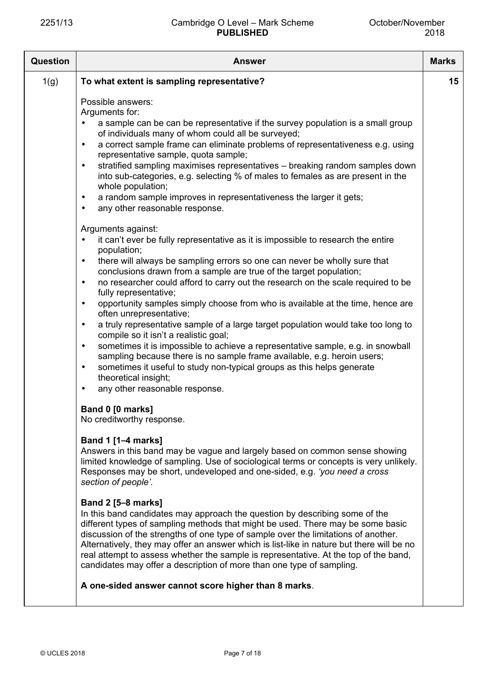| <b>Question</b> | <b>Answer</b>                                                                                                                                                                                                                                                                                                                                                                                                                                                                                                                                                                                                                                                                                                                                                                                                                                                                                                                                                                                                        | <b>Marks</b> |
|-----------------|----------------------------------------------------------------------------------------------------------------------------------------------------------------------------------------------------------------------------------------------------------------------------------------------------------------------------------------------------------------------------------------------------------------------------------------------------------------------------------------------------------------------------------------------------------------------------------------------------------------------------------------------------------------------------------------------------------------------------------------------------------------------------------------------------------------------------------------------------------------------------------------------------------------------------------------------------------------------------------------------------------------------|--------------|
| 1(g)            | To what extent is sampling representative?                                                                                                                                                                                                                                                                                                                                                                                                                                                                                                                                                                                                                                                                                                                                                                                                                                                                                                                                                                           | 15           |
|                 | Possible answers:<br>Arguments for:<br>a sample can be can be representative if the survey population is a small group<br>$\bullet$<br>of individuals many of whom could all be surveyed;<br>a correct sample frame can eliminate problems of representativeness e.g. using<br>$\bullet$<br>representative sample, quota sample;<br>stratified sampling maximises representatives - breaking random samples down<br>$\bullet$<br>into sub-categories, e.g. selecting % of males to females as are present in the<br>whole population;<br>a random sample improves in representativeness the larger it gets;<br>$\bullet$<br>any other reasonable response.<br>$\bullet$<br>Arguments against:                                                                                                                                                                                                                                                                                                                        |              |
|                 | it can't ever be fully representative as it is impossible to research the entire<br>$\bullet$<br>population;<br>there will always be sampling errors so one can never be wholly sure that<br>$\bullet$<br>conclusions drawn from a sample are true of the target population;<br>no researcher could afford to carry out the research on the scale required to be<br>$\bullet$<br>fully representative;<br>opportunity samples simply choose from who is available at the time, hence are<br>$\bullet$<br>often unrepresentative;<br>a truly representative sample of a large target population would take too long to<br>$\bullet$<br>compile so it isn't a realistic goal;<br>sometimes it is impossible to achieve a representative sample, e.g. in snowball<br>$\bullet$<br>sampling because there is no sample frame available, e.g. heroin users;<br>sometimes it useful to study non-typical groups as this helps generate<br>$\bullet$<br>theoretical insight;<br>any other reasonable response.<br>$\bullet$ |              |
|                 | Band 0 [0 marks]<br>No creditworthy response.<br><b>Band 1 [1-4 marks]</b><br>Answers in this band may be vague and largely based on common sense showing<br>limited knowledge of sampling. Use of sociological terms or concepts is very unlikely.<br>Responses may be short, undeveloped and one-sided, e.g. 'you need a cross<br>section of people'.<br><b>Band 2 [5-8 marks]</b>                                                                                                                                                                                                                                                                                                                                                                                                                                                                                                                                                                                                                                 |              |
|                 | In this band candidates may approach the question by describing some of the<br>different types of sampling methods that might be used. There may be some basic<br>discussion of the strengths of one type of sample over the limitations of another.<br>Alternatively, they may offer an answer which is list-like in nature but there will be no<br>real attempt to assess whether the sample is representative. At the top of the band,<br>candidates may offer a description of more than one type of sampling.<br>A one-sided answer cannot score higher than 8 marks.                                                                                                                                                                                                                                                                                                                                                                                                                                           |              |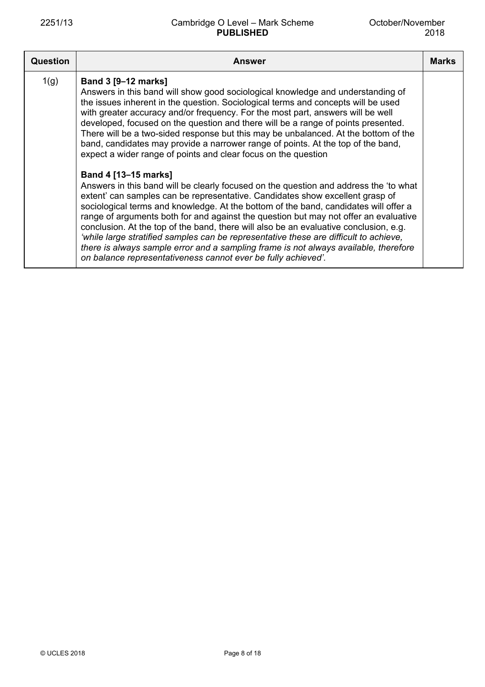## 2251/13 Cambridge O Level – Mark Scheme **PUBLISHED**

| Question | <b>Answer</b>                                                                                                                                                                                                                                                                                                                                                                                                                                                                                                                                                                                                                                                                                                                                                                                                                                                                                                                                                                                                                                                                                                                                                                                                                                                                                                                                               | <b>Marks</b> |
|----------|-------------------------------------------------------------------------------------------------------------------------------------------------------------------------------------------------------------------------------------------------------------------------------------------------------------------------------------------------------------------------------------------------------------------------------------------------------------------------------------------------------------------------------------------------------------------------------------------------------------------------------------------------------------------------------------------------------------------------------------------------------------------------------------------------------------------------------------------------------------------------------------------------------------------------------------------------------------------------------------------------------------------------------------------------------------------------------------------------------------------------------------------------------------------------------------------------------------------------------------------------------------------------------------------------------------------------------------------------------------|--------------|
| 1(g)     | <b>Band 3 [9-12 marks]</b><br>Answers in this band will show good sociological knowledge and understanding of<br>the issues inherent in the question. Sociological terms and concepts will be used<br>with greater accuracy and/or frequency. For the most part, answers will be well<br>developed, focused on the question and there will be a range of points presented.<br>There will be a two-sided response but this may be unbalanced. At the bottom of the<br>band, candidates may provide a narrower range of points. At the top of the band,<br>expect a wider range of points and clear focus on the question<br><b>Band 4 [13-15 marks]</b><br>Answers in this band will be clearly focused on the question and address the 'to what<br>extent' can samples can be representative. Candidates show excellent grasp of<br>sociological terms and knowledge. At the bottom of the band, candidates will offer a<br>range of arguments both for and against the question but may not offer an evaluative<br>conclusion. At the top of the band, there will also be an evaluative conclusion, e.g.<br>'while large stratified samples can be representative these are difficult to achieve,<br>there is always sample error and a sampling frame is not always available, therefore<br>on balance representativeness cannot ever be fully achieved'. |              |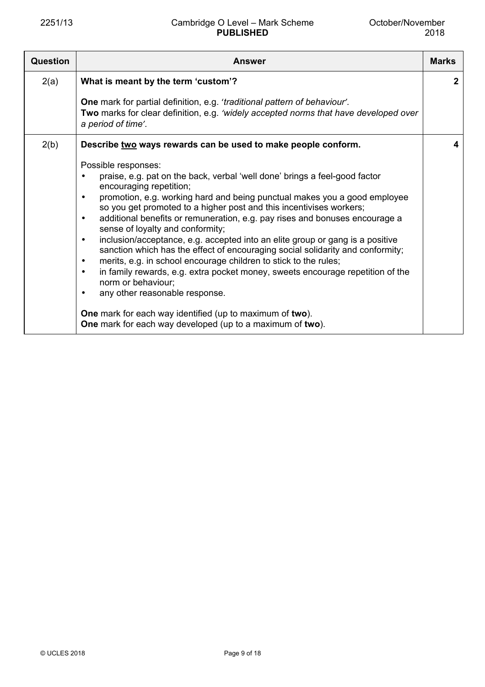## 2251/13 Cambridge O Level – Mark Scheme **PUBLISHED**

| <b>Question</b> | <b>Answer</b>                                                                                                                                                                                                                                                                                                                                                                                                                                                                                                                                                                                                                                                                                                                                                                                                                                                                                                                                                                                      | <b>Marks</b> |
|-----------------|----------------------------------------------------------------------------------------------------------------------------------------------------------------------------------------------------------------------------------------------------------------------------------------------------------------------------------------------------------------------------------------------------------------------------------------------------------------------------------------------------------------------------------------------------------------------------------------------------------------------------------------------------------------------------------------------------------------------------------------------------------------------------------------------------------------------------------------------------------------------------------------------------------------------------------------------------------------------------------------------------|--------------|
| 2(a)            | What is meant by the term 'custom'?                                                                                                                                                                                                                                                                                                                                                                                                                                                                                                                                                                                                                                                                                                                                                                                                                                                                                                                                                                | $\mathbf{2}$ |
|                 | One mark for partial definition, e.g. 'traditional pattern of behaviour'.<br>Two marks for clear definition, e.g. 'widely accepted norms that have developed over<br>a period of time'.                                                                                                                                                                                                                                                                                                                                                                                                                                                                                                                                                                                                                                                                                                                                                                                                            |              |
| 2(b)            | Describe two ways rewards can be used to make people conform.                                                                                                                                                                                                                                                                                                                                                                                                                                                                                                                                                                                                                                                                                                                                                                                                                                                                                                                                      | 4            |
|                 | Possible responses:<br>praise, e.g. pat on the back, verbal 'well done' brings a feel-good factor<br>encouraging repetition;<br>promotion, e.g. working hard and being punctual makes you a good employee<br>$\bullet$<br>so you get promoted to a higher post and this incentivises workers;<br>additional benefits or remuneration, e.g. pay rises and bonuses encourage a<br>$\bullet$<br>sense of loyalty and conformity;<br>inclusion/acceptance, e.g. accepted into an elite group or gang is a positive<br>$\bullet$<br>sanction which has the effect of encouraging social solidarity and conformity;<br>merits, e.g. in school encourage children to stick to the rules;<br>$\bullet$<br>in family rewards, e.g. extra pocket money, sweets encourage repetition of the<br>$\bullet$<br>norm or behaviour;<br>any other reasonable response.<br>$\bullet$<br>One mark for each way identified (up to maximum of two).<br><b>One</b> mark for each way developed (up to a maximum of two). |              |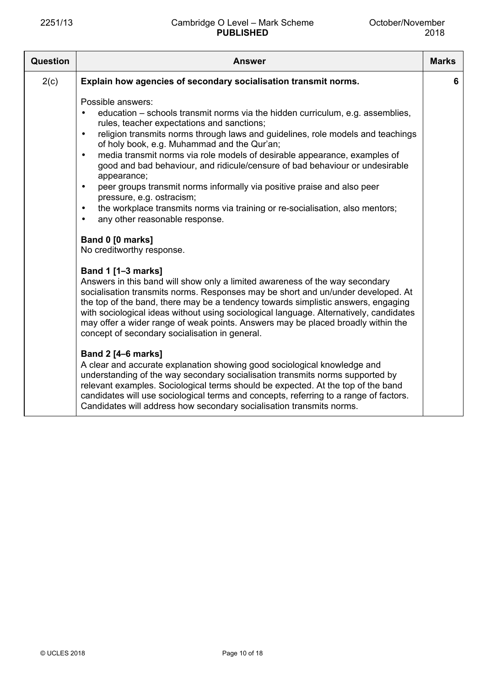| Question | <b>Answer</b>                                                                                                                                                                                                                                                                                                                                                                                                                                                                                                                                                                                                                                                                                                                                                                                                | <b>Marks</b> |
|----------|--------------------------------------------------------------------------------------------------------------------------------------------------------------------------------------------------------------------------------------------------------------------------------------------------------------------------------------------------------------------------------------------------------------------------------------------------------------------------------------------------------------------------------------------------------------------------------------------------------------------------------------------------------------------------------------------------------------------------------------------------------------------------------------------------------------|--------------|
| 2(c)     | Explain how agencies of secondary socialisation transmit norms.                                                                                                                                                                                                                                                                                                                                                                                                                                                                                                                                                                                                                                                                                                                                              | 6            |
|          | Possible answers:<br>education – schools transmit norms via the hidden curriculum, e.g. assemblies,<br>rules, teacher expectations and sanctions;<br>religion transmits norms through laws and guidelines, role models and teachings<br>$\bullet$<br>of holy book, e.g. Muhammad and the Qur'an;<br>media transmit norms via role models of desirable appearance, examples of<br>$\bullet$<br>good and bad behaviour, and ridicule/censure of bad behaviour or undesirable<br>appearance;<br>peer groups transmit norms informally via positive praise and also peer<br>$\bullet$<br>pressure, e.g. ostracism;<br>the workplace transmits norms via training or re-socialisation, also mentors;<br>$\bullet$<br>any other reasonable response.<br>$\bullet$<br>Band 0 [0 marks]<br>No creditworthy response. |              |
|          | <b>Band 1 [1-3 marks]</b><br>Answers in this band will show only a limited awareness of the way secondary<br>socialisation transmits norms. Responses may be short and un/under developed. At<br>the top of the band, there may be a tendency towards simplistic answers, engaging<br>with sociological ideas without using sociological language. Alternatively, candidates<br>may offer a wider range of weak points. Answers may be placed broadly within the<br>concept of secondary socialisation in general.<br><b>Band 2 [4-6 marks]</b><br>A clear and accurate explanation showing good sociological knowledge and<br>understanding of the way secondary socialisation transmits norms supported by                                                                                                 |              |
|          | relevant examples. Sociological terms should be expected. At the top of the band<br>candidates will use sociological terms and concepts, referring to a range of factors.<br>Candidates will address how secondary socialisation transmits norms.                                                                                                                                                                                                                                                                                                                                                                                                                                                                                                                                                            |              |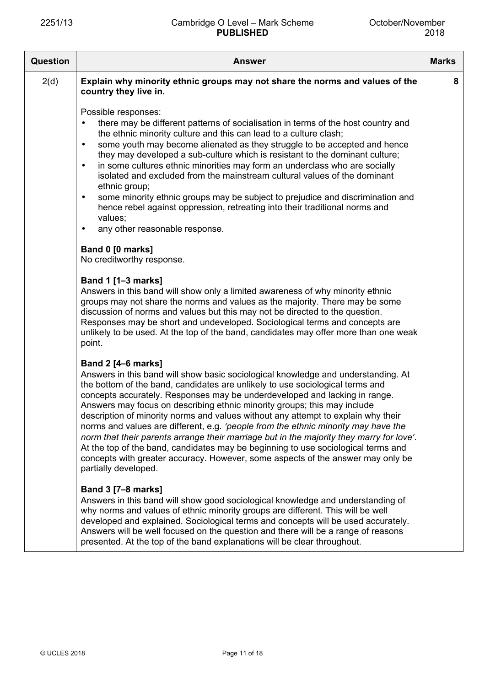| <b>Question</b> | <b>Answer</b>                                                                                                                                                                                                                                                                                                                                                                                                                                                                                                                                                                                                                                                                                                                                                                                                                    | <b>Marks</b> |
|-----------------|----------------------------------------------------------------------------------------------------------------------------------------------------------------------------------------------------------------------------------------------------------------------------------------------------------------------------------------------------------------------------------------------------------------------------------------------------------------------------------------------------------------------------------------------------------------------------------------------------------------------------------------------------------------------------------------------------------------------------------------------------------------------------------------------------------------------------------|--------------|
| 2(d)            | Explain why minority ethnic groups may not share the norms and values of the<br>country they live in.                                                                                                                                                                                                                                                                                                                                                                                                                                                                                                                                                                                                                                                                                                                            | 8            |
|                 | Possible responses:<br>there may be different patterns of socialisation in terms of the host country and<br>$\bullet$<br>the ethnic minority culture and this can lead to a culture clash;<br>some youth may become alienated as they struggle to be accepted and hence<br>$\bullet$<br>they may developed a sub-culture which is resistant to the dominant culture;<br>in some cultures ethnic minorities may form an underclass who are socially<br>$\bullet$<br>isolated and excluded from the mainstream cultural values of the dominant<br>ethnic group;<br>some minority ethnic groups may be subject to prejudice and discrimination and<br>$\bullet$<br>hence rebel against oppression, retreating into their traditional norms and<br>values;<br>any other reasonable response.<br>$\bullet$                            |              |
|                 | Band 0 [0 marks]<br>No creditworthy response.                                                                                                                                                                                                                                                                                                                                                                                                                                                                                                                                                                                                                                                                                                                                                                                    |              |
|                 | <b>Band 1 [1-3 marks]</b><br>Answers in this band will show only a limited awareness of why minority ethnic<br>groups may not share the norms and values as the majority. There may be some<br>discussion of norms and values but this may not be directed to the question.<br>Responses may be short and undeveloped. Sociological terms and concepts are<br>unlikely to be used. At the top of the band, candidates may offer more than one weak<br>point.                                                                                                                                                                                                                                                                                                                                                                     |              |
|                 | <b>Band 2 [4–6 marks]</b><br>Answers in this band will show basic sociological knowledge and understanding. At<br>the bottom of the band, candidates are unlikely to use sociological terms and<br>concepts accurately. Responses may be underdeveloped and lacking in range.<br>Answers may focus on describing ethnic minority groups; this may include<br>description of minority norms and values without any attempt to explain why their<br>norms and values are different, e.g. 'people from the ethnic minority may have the<br>norm that their parents arrange their marriage but in the majority they marry for love'.<br>At the top of the band, candidates may be beginning to use sociological terms and<br>concepts with greater accuracy. However, some aspects of the answer may only be<br>partially developed. |              |
|                 | <b>Band 3 [7-8 marks]</b><br>Answers in this band will show good sociological knowledge and understanding of<br>why norms and values of ethnic minority groups are different. This will be well<br>developed and explained. Sociological terms and concepts will be used accurately.<br>Answers will be well focused on the question and there will be a range of reasons<br>presented. At the top of the band explanations will be clear throughout.                                                                                                                                                                                                                                                                                                                                                                            |              |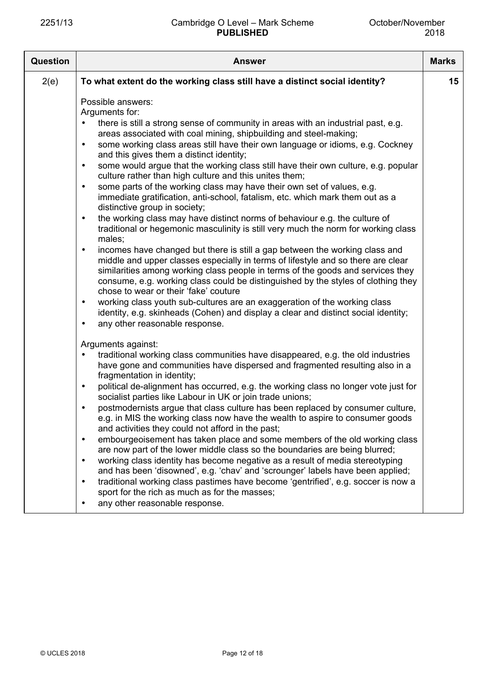| Question | <b>Answer</b>                                                                                                                                                                                                                                                                                                                                                                                                                                                                                                                                                                                                                                                                                                                                                                                                                                                                                                                                                                                                                                                                                                                                                                                                                                                                                                                                                                                                                                                                                                                             | <b>Marks</b> |
|----------|-------------------------------------------------------------------------------------------------------------------------------------------------------------------------------------------------------------------------------------------------------------------------------------------------------------------------------------------------------------------------------------------------------------------------------------------------------------------------------------------------------------------------------------------------------------------------------------------------------------------------------------------------------------------------------------------------------------------------------------------------------------------------------------------------------------------------------------------------------------------------------------------------------------------------------------------------------------------------------------------------------------------------------------------------------------------------------------------------------------------------------------------------------------------------------------------------------------------------------------------------------------------------------------------------------------------------------------------------------------------------------------------------------------------------------------------------------------------------------------------------------------------------------------------|--------------|
| 2(e)     | To what extent do the working class still have a distinct social identity?                                                                                                                                                                                                                                                                                                                                                                                                                                                                                                                                                                                                                                                                                                                                                                                                                                                                                                                                                                                                                                                                                                                                                                                                                                                                                                                                                                                                                                                                | 15           |
|          | Possible answers:<br>Arguments for:<br>there is still a strong sense of community in areas with an industrial past, e.g.<br>areas associated with coal mining, shipbuilding and steel-making;<br>some working class areas still have their own language or idioms, e.g. Cockney<br>$\bullet$<br>and this gives them a distinct identity;<br>some would argue that the working class still have their own culture, e.g. popular<br>$\bullet$<br>culture rather than high culture and this unites them;<br>some parts of the working class may have their own set of values, e.g.<br>$\bullet$<br>immediate gratification, anti-school, fatalism, etc. which mark them out as a<br>distinctive group in society;<br>the working class may have distinct norms of behaviour e.g. the culture of<br>$\bullet$<br>traditional or hegemonic masculinity is still very much the norm for working class<br>males;<br>incomes have changed but there is still a gap between the working class and<br>$\bullet$<br>middle and upper classes especially in terms of lifestyle and so there are clear<br>similarities among working class people in terms of the goods and services they<br>consume, e.g. working class could be distinguished by the styles of clothing they<br>chose to wear or their 'fake' couture<br>working class youth sub-cultures are an exaggeration of the working class<br>$\bullet$<br>identity, e.g. skinheads (Cohen) and display a clear and distinct social identity;<br>any other reasonable response.<br>$\bullet$ |              |
|          | Arguments against:<br>traditional working class communities have disappeared, e.g. the old industries<br>$\bullet$<br>have gone and communities have dispersed and fragmented resulting also in a<br>fragmentation in identity;<br>political de-alignment has occurred, e.g. the working class no longer vote just for<br>$\bullet$<br>socialist parties like Labour in UK or join trade unions;<br>postmodernists argue that class culture has been replaced by consumer culture,<br>$\bullet$<br>e.g. in MIS the working class now have the wealth to aspire to consumer goods<br>and activities they could not afford in the past;<br>embourgeoisement has taken place and some members of the old working class<br>$\bullet$<br>are now part of the lower middle class so the boundaries are being blurred;<br>working class identity has become negative as a result of media stereotyping<br>and has been 'disowned', e.g. 'chav' and 'scrounger' labels have been applied;<br>traditional working class pastimes have become 'gentrified', e.g. soccer is now a<br>$\bullet$<br>sport for the rich as much as for the masses;<br>any other reasonable response.                                                                                                                                                                                                                                                                                                                                                                    |              |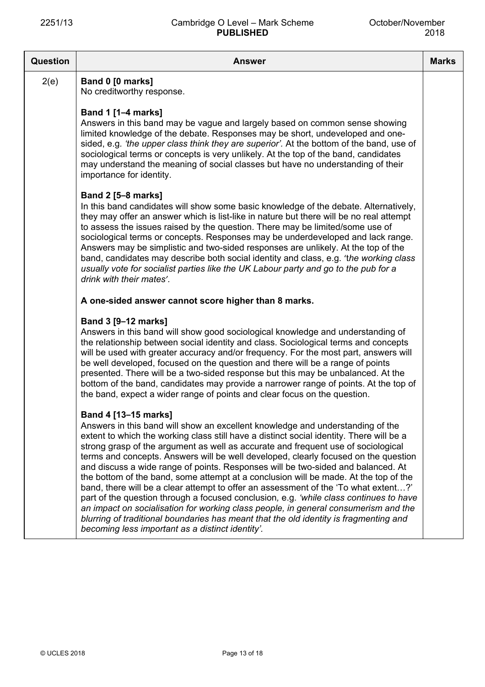| <b>Question</b> | <b>Answer</b>                                                                                                                                                                                                                                                                                                                                                                                                                                                                                                                                                                                                                                                                                                                                                                                                                                                                                                                                                                   | <b>Marks</b> |
|-----------------|---------------------------------------------------------------------------------------------------------------------------------------------------------------------------------------------------------------------------------------------------------------------------------------------------------------------------------------------------------------------------------------------------------------------------------------------------------------------------------------------------------------------------------------------------------------------------------------------------------------------------------------------------------------------------------------------------------------------------------------------------------------------------------------------------------------------------------------------------------------------------------------------------------------------------------------------------------------------------------|--------------|
| 2(e)            | Band 0 [0 marks]<br>No creditworthy response.                                                                                                                                                                                                                                                                                                                                                                                                                                                                                                                                                                                                                                                                                                                                                                                                                                                                                                                                   |              |
|                 | Band 1 [1-4 marks]<br>Answers in this band may be vague and largely based on common sense showing<br>limited knowledge of the debate. Responses may be short, undeveloped and one-<br>sided, e.g. 'the upper class think they are superior'. At the bottom of the band, use of<br>sociological terms or concepts is very unlikely. At the top of the band, candidates<br>may understand the meaning of social classes but have no understanding of their<br>importance for identity.                                                                                                                                                                                                                                                                                                                                                                                                                                                                                            |              |
|                 | <b>Band 2 [5-8 marks]</b><br>In this band candidates will show some basic knowledge of the debate. Alternatively,<br>they may offer an answer which is list-like in nature but there will be no real attempt<br>to assess the issues raised by the question. There may be limited/some use of<br>sociological terms or concepts. Responses may be underdeveloped and lack range.<br>Answers may be simplistic and two-sided responses are unlikely. At the top of the<br>band, candidates may describe both social identity and class, e.g. 'the working class<br>usually vote for socialist parties like the UK Labour party and go to the pub for a<br>drink with their mates'.                                                                                                                                                                                                                                                                                               |              |
|                 | A one-sided answer cannot score higher than 8 marks.                                                                                                                                                                                                                                                                                                                                                                                                                                                                                                                                                                                                                                                                                                                                                                                                                                                                                                                            |              |
|                 | Band 3 [9-12 marks]<br>Answers in this band will show good sociological knowledge and understanding of<br>the relationship between social identity and class. Sociological terms and concepts<br>will be used with greater accuracy and/or frequency. For the most part, answers will<br>be well developed, focused on the question and there will be a range of points<br>presented. There will be a two-sided response but this may be unbalanced. At the<br>bottom of the band, candidates may provide a narrower range of points. At the top of<br>the band, expect a wider range of points and clear focus on the question.                                                                                                                                                                                                                                                                                                                                                |              |
|                 | Band 4 [13-15 marks]<br>Answers in this band will show an excellent knowledge and understanding of the<br>extent to which the working class still have a distinct social identity. There will be a<br>strong grasp of the argument as well as accurate and frequent use of sociological<br>terms and concepts. Answers will be well developed, clearly focused on the question<br>and discuss a wide range of points. Responses will be two-sided and balanced. At<br>the bottom of the band, some attempt at a conclusion will be made. At the top of the<br>band, there will be a clear attempt to offer an assessment of the 'To what extent?'<br>part of the question through a focused conclusion, e.g. 'while class continues to have<br>an impact on socialisation for working class people, in general consumerism and the<br>blurring of traditional boundaries has meant that the old identity is fragmenting and<br>becoming less important as a distinct identity'. |              |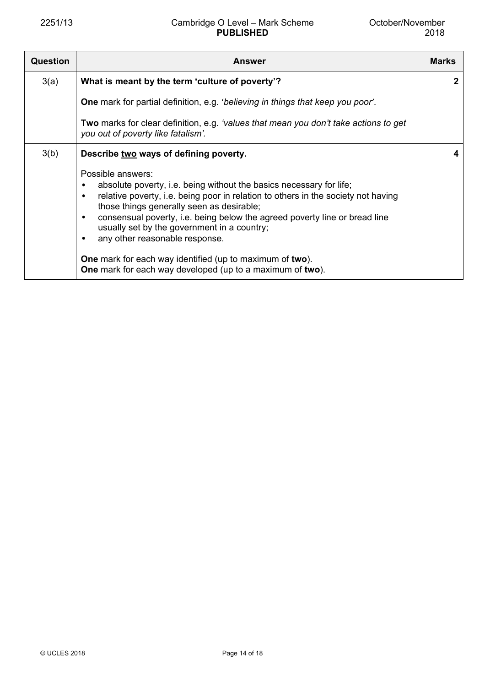| <b>Answer</b>                                                                                                                                                                                                                                                                                                                                                                                                                                                                                            | <b>Marks</b>                                              |
|----------------------------------------------------------------------------------------------------------------------------------------------------------------------------------------------------------------------------------------------------------------------------------------------------------------------------------------------------------------------------------------------------------------------------------------------------------------------------------------------------------|-----------------------------------------------------------|
| What is meant by the term 'culture of poverty'?                                                                                                                                                                                                                                                                                                                                                                                                                                                          | $\mathbf{2}$                                              |
| <b>One</b> mark for partial definition, e.g. 'believing in things that keep you poor'.                                                                                                                                                                                                                                                                                                                                                                                                                   |                                                           |
| Two marks for clear definition, e.g. 'values that mean you don't take actions to get<br>you out of poverty like fatalism'.                                                                                                                                                                                                                                                                                                                                                                               |                                                           |
| Describe two ways of defining poverty.                                                                                                                                                                                                                                                                                                                                                                                                                                                                   | 4                                                         |
| Possible answers:<br>absolute poverty, i.e. being without the basics necessary for life;<br>$\bullet$<br>relative poverty, i.e. being poor in relation to others in the society not having<br>$\bullet$<br>those things generally seen as desirable;<br>consensual poverty, i.e. being below the agreed poverty line or bread line<br>٠<br>usually set by the government in a country;<br>any other reasonable response.<br>$\bullet$<br><b>One</b> mark for each way identified (up to maximum of two). |                                                           |
|                                                                                                                                                                                                                                                                                                                                                                                                                                                                                                          | One mark for each way developed (up to a maximum of two). |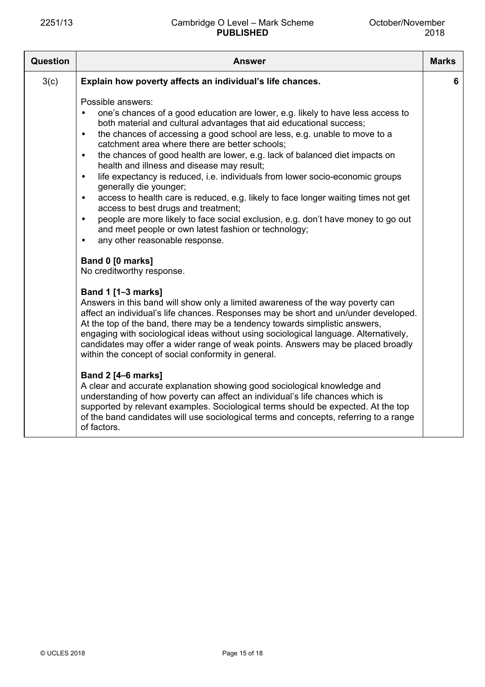| <b>Question</b> | Answer                                                                                                                                                                                                                                                                                                                                                                                                                                                                                                                                                                                                                                                                                                                                                                                                                                                                                                                                           | <b>Marks</b> |
|-----------------|--------------------------------------------------------------------------------------------------------------------------------------------------------------------------------------------------------------------------------------------------------------------------------------------------------------------------------------------------------------------------------------------------------------------------------------------------------------------------------------------------------------------------------------------------------------------------------------------------------------------------------------------------------------------------------------------------------------------------------------------------------------------------------------------------------------------------------------------------------------------------------------------------------------------------------------------------|--------------|
| 3(c)            | Explain how poverty affects an individual's life chances.                                                                                                                                                                                                                                                                                                                                                                                                                                                                                                                                                                                                                                                                                                                                                                                                                                                                                        | 6            |
|                 | Possible answers:<br>one's chances of a good education are lower, e.g. likely to have less access to<br>٠<br>both material and cultural advantages that aid educational success;<br>the chances of accessing a good school are less, e.g. unable to move to a<br>$\bullet$<br>catchment area where there are better schools;<br>the chances of good health are lower, e.g. lack of balanced diet impacts on<br>$\bullet$<br>health and illness and disease may result;<br>life expectancy is reduced, i.e. individuals from lower socio-economic groups<br>$\bullet$<br>generally die younger;<br>access to health care is reduced, e.g. likely to face longer waiting times not get<br>$\bullet$<br>access to best drugs and treatment;<br>people are more likely to face social exclusion, e.g. don't have money to go out<br>$\bullet$<br>and meet people or own latest fashion or technology;<br>any other reasonable response.<br>$\bullet$ |              |
|                 | Band 0 [0 marks]<br>No creditworthy response.                                                                                                                                                                                                                                                                                                                                                                                                                                                                                                                                                                                                                                                                                                                                                                                                                                                                                                    |              |
|                 | Band 1 [1-3 marks]<br>Answers in this band will show only a limited awareness of the way poverty can<br>affect an individual's life chances. Responses may be short and un/under developed.<br>At the top of the band, there may be a tendency towards simplistic answers,<br>engaging with sociological ideas without using sociological language. Alternatively,<br>candidates may offer a wider range of weak points. Answers may be placed broadly<br>within the concept of social conformity in general.                                                                                                                                                                                                                                                                                                                                                                                                                                    |              |
|                 | <b>Band 2 [4-6 marks]</b><br>A clear and accurate explanation showing good sociological knowledge and<br>understanding of how poverty can affect an individual's life chances which is<br>supported by relevant examples. Sociological terms should be expected. At the top<br>of the band candidates will use sociological terms and concepts, referring to a range<br>of factors.                                                                                                                                                                                                                                                                                                                                                                                                                                                                                                                                                              |              |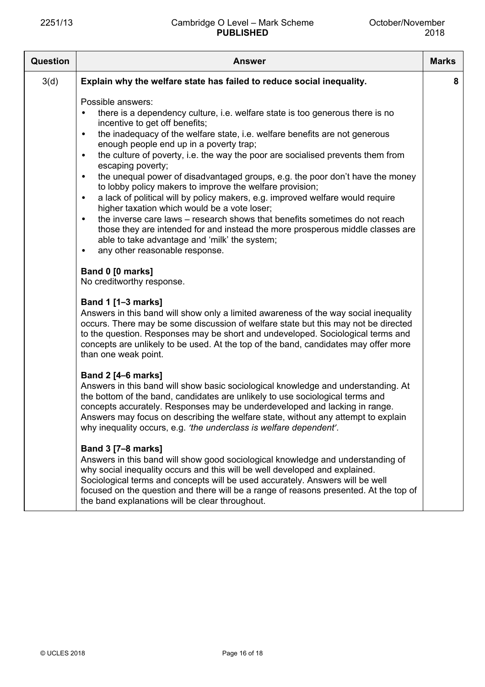| <b>Question</b> | <b>Answer</b>                                                                                                                                                                                                                                                                                                                                                                                                                                                                                                                                                                                                                                                                                                                                                                                                                                                                                                                                                                        | <b>Marks</b> |
|-----------------|--------------------------------------------------------------------------------------------------------------------------------------------------------------------------------------------------------------------------------------------------------------------------------------------------------------------------------------------------------------------------------------------------------------------------------------------------------------------------------------------------------------------------------------------------------------------------------------------------------------------------------------------------------------------------------------------------------------------------------------------------------------------------------------------------------------------------------------------------------------------------------------------------------------------------------------------------------------------------------------|--------------|
| 3(d)            | Explain why the welfare state has failed to reduce social inequality.                                                                                                                                                                                                                                                                                                                                                                                                                                                                                                                                                                                                                                                                                                                                                                                                                                                                                                                | 8            |
|                 | Possible answers:<br>there is a dependency culture, i.e. welfare state is too generous there is no<br>$\bullet$<br>incentive to get off benefits;<br>the inadequacy of the welfare state, i.e. welfare benefits are not generous<br>$\bullet$<br>enough people end up in a poverty trap;<br>the culture of poverty, i.e. the way the poor are socialised prevents them from<br>$\bullet$<br>escaping poverty;<br>the unequal power of disadvantaged groups, e.g. the poor don't have the money<br>$\bullet$<br>to lobby policy makers to improve the welfare provision;<br>a lack of political will by policy makers, e.g. improved welfare would require<br>٠<br>higher taxation which would be a vote loser;<br>the inverse care laws – research shows that benefits sometimes do not reach<br>$\bullet$<br>those they are intended for and instead the more prosperous middle classes are<br>able to take advantage and 'milk' the system;<br>any other reasonable response.<br>٠ |              |
|                 | Band 0 [0 marks]<br>No creditworthy response.                                                                                                                                                                                                                                                                                                                                                                                                                                                                                                                                                                                                                                                                                                                                                                                                                                                                                                                                        |              |
|                 | <b>Band 1 [1-3 marks]</b><br>Answers in this band will show only a limited awareness of the way social inequality<br>occurs. There may be some discussion of welfare state but this may not be directed<br>to the question. Responses may be short and undeveloped. Sociological terms and<br>concepts are unlikely to be used. At the top of the band, candidates may offer more<br>than one weak point.                                                                                                                                                                                                                                                                                                                                                                                                                                                                                                                                                                            |              |
|                 | <b>Band 2 [4-6 marks]</b><br>Answers in this band will show basic sociological knowledge and understanding. At<br>the bottom of the band, candidates are unlikely to use sociological terms and<br>concepts accurately. Responses may be underdeveloped and lacking in range.<br>Answers may focus on describing the welfare state, without any attempt to explain<br>why inequality occurs, e.g. 'the underclass is welfare dependent'.                                                                                                                                                                                                                                                                                                                                                                                                                                                                                                                                             |              |
|                 | <b>Band 3 [7-8 marks]</b><br>Answers in this band will show good sociological knowledge and understanding of<br>why social inequality occurs and this will be well developed and explained.<br>Sociological terms and concepts will be used accurately. Answers will be well<br>focused on the question and there will be a range of reasons presented. At the top of<br>the band explanations will be clear throughout.                                                                                                                                                                                                                                                                                                                                                                                                                                                                                                                                                             |              |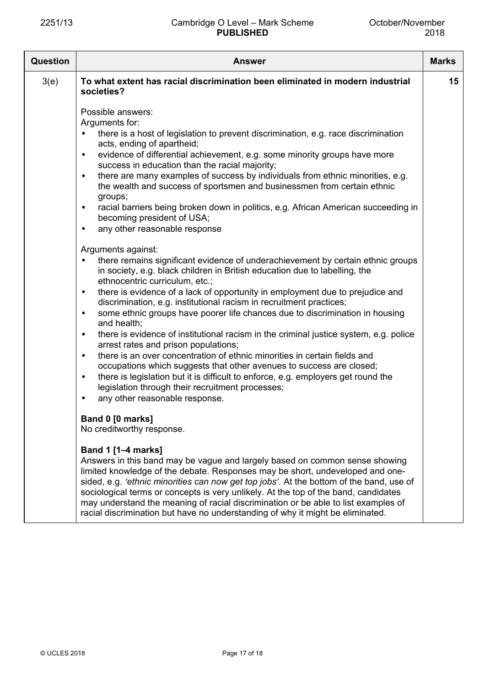| Question | <b>Answer</b>                                                                                                                                                                                                                                                                                                                                                                                                                                                                                                                                                                                                                                                                                                                                                                                                                                                                                                                                                                                                            | <b>Marks</b> |
|----------|--------------------------------------------------------------------------------------------------------------------------------------------------------------------------------------------------------------------------------------------------------------------------------------------------------------------------------------------------------------------------------------------------------------------------------------------------------------------------------------------------------------------------------------------------------------------------------------------------------------------------------------------------------------------------------------------------------------------------------------------------------------------------------------------------------------------------------------------------------------------------------------------------------------------------------------------------------------------------------------------------------------------------|--------------|
| 3(e)     | To what extent has racial discrimination been eliminated in modern industrial<br>societies?                                                                                                                                                                                                                                                                                                                                                                                                                                                                                                                                                                                                                                                                                                                                                                                                                                                                                                                              | 15           |
|          | Possible answers:<br>Arguments for:<br>there is a host of legislation to prevent discrimination, e.g. race discrimination<br>acts, ending of apartheid;<br>evidence of differential achievement, e.g. some minority groups have more<br>$\bullet$<br>success in education than the racial majority;<br>there are many examples of success by individuals from ethnic minorities, e.g.<br>$\bullet$<br>the wealth and success of sportsmen and businessmen from certain ethnic<br>groups;<br>racial barriers being broken down in politics, e.g. African American succeeding in<br>٠<br>becoming president of USA;<br>any other reasonable response<br>$\bullet$                                                                                                                                                                                                                                                                                                                                                          |              |
|          | Arguments against:<br>there remains significant evidence of underachievement by certain ethnic groups<br>$\bullet$<br>in society, e.g. black children in British education due to labelling, the<br>ethnocentric curriculum, etc.;<br>there is evidence of a lack of opportunity in employment due to prejudice and<br>$\bullet$<br>discrimination, e.g. institutional racism in recruitment practices;<br>some ethnic groups have poorer life chances due to discrimination in housing<br>$\bullet$<br>and health;<br>there is evidence of institutional racism in the criminal justice system, e.g. police<br>٠<br>arrest rates and prison populations;<br>there is an over concentration of ethnic minorities in certain fields and<br>$\bullet$<br>occupations which suggests that other avenues to success are closed;<br>there is legislation but it is difficult to enforce, e.g. employers get round the<br>$\bullet$<br>legislation through their recruitment processes;<br>any other reasonable response.<br>٠ |              |
|          | Band 0 [0 marks]<br>No creditworthy response.<br>Band 1 [1-4 marks]<br>Answers in this band may be vague and largely based on common sense showing<br>limited knowledge of the debate. Responses may be short, undeveloped and one-<br>sided, e.g. 'ethnic minorities can now get top jobs'. At the bottom of the band, use of<br>sociological terms or concepts is very unlikely. At the top of the band, candidates<br>may understand the meaning of racial discrimination or be able to list examples of<br>racial discrimination but have no understanding of why it might be eliminated.                                                                                                                                                                                                                                                                                                                                                                                                                            |              |